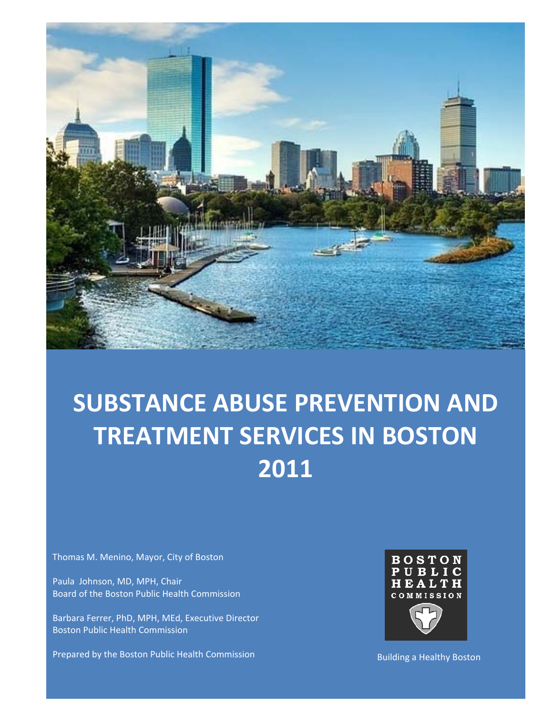

# **SUBSTANCE ABUSE PREVENTION AND TREATMENT SERVICES IN BOSTON 2011**

Thomas M. Menino, Mayor, City of Boston

Paula Johnson, MD, MPH, Chair Board of the Boston Public Health Commission

Barbara Ferrer, PhD, MPH, MEd, Executive Director Boston Public Health Commission

Prepared by the Boston Public Health Commission



Building a Healthy Boston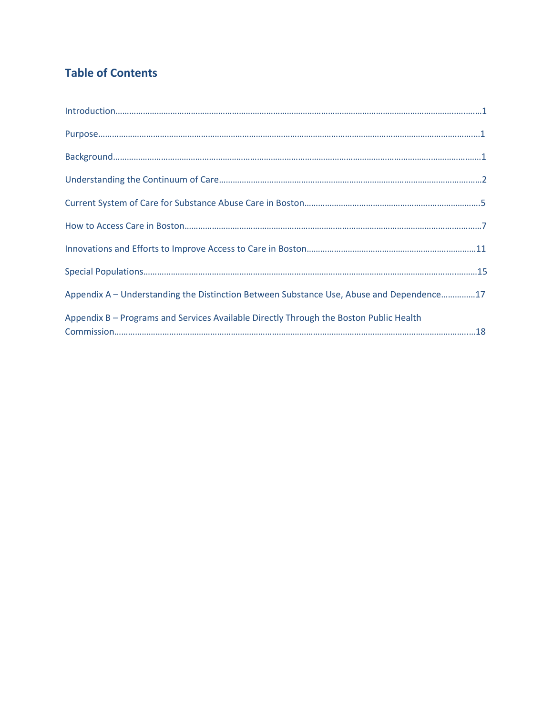# **Table of Contents**

| Appendix A - Understanding the Distinction Between Substance Use, Abuse and Dependence17 |
|------------------------------------------------------------------------------------------|
| Appendix B - Programs and Services Available Directly Through the Boston Public Health   |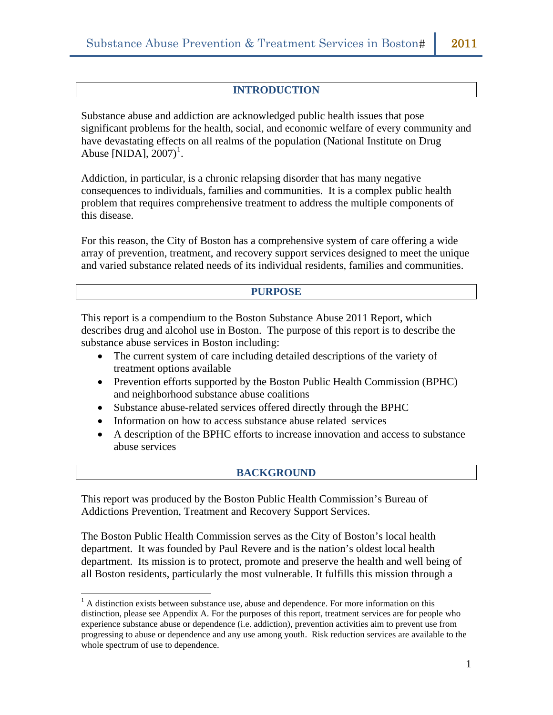#### **INTRODUCTION**

Substance abuse and addiction are acknowledged public health issues that pose significant problems for the health, social, and economic welfare of every community and have devastating effects on all realms of the population (National Institute on Drug Abuse [NIDA],  $2007$ <sup>[1](#page-2-0)</sup>.

Addiction, in particular, is a chronic relapsing disorder that has many negative consequences to individuals, families and communities. It is a complex public health problem that requires comprehensive treatment to address the multiple components of this disease.

For this reason, the City of Boston has a comprehensive system of care offering a wide array of prevention, treatment, and recovery support services designed to meet the unique and varied substance related needs of its individual residents, families and communities.

#### **PURPOSE**

This report is a compendium to the Boston Substance Abuse 2011 Report, which describes drug and alcohol use in Boston. The purpose of this report is to describe the substance abuse services in Boston including:

- The current system of care including detailed descriptions of the variety of treatment options available
- Prevention efforts supported by the Boston Public Health Commission (BPHC) and neighborhood substance abuse coalitions
- Substance abuse-related services offered directly through the BPHC
- Information on how to access substance abuse related services
- A description of the BPHC efforts to increase innovation and access to substance abuse services

#### **BACKGROUND**

This report was produced by the Boston Public Health Commission's Bureau of Addictions Prevention, Treatment and Recovery Support Services.

 $\overline{a}$ 

The Boston Public Health Commission serves as the City of Boston's local health department. It was founded by Paul Revere and is the nation's oldest local health department. Its mission is to protect, promote and preserve the health and well being of all Boston residents, particularly the most vulnerable. It fulfills this mission through a

<span id="page-2-0"></span> $<sup>1</sup>$  A distinction exists between substance use, abuse and dependence. For more information on this</sup> distinction, please see Appendix A. For the purposes of this report, treatment services are for people who experience substance abuse or dependence (i.e. addiction), prevention activities aim to prevent use from progressing to abuse or dependence and any use among youth. Risk reduction services are available to the whole spectrum of use to dependence.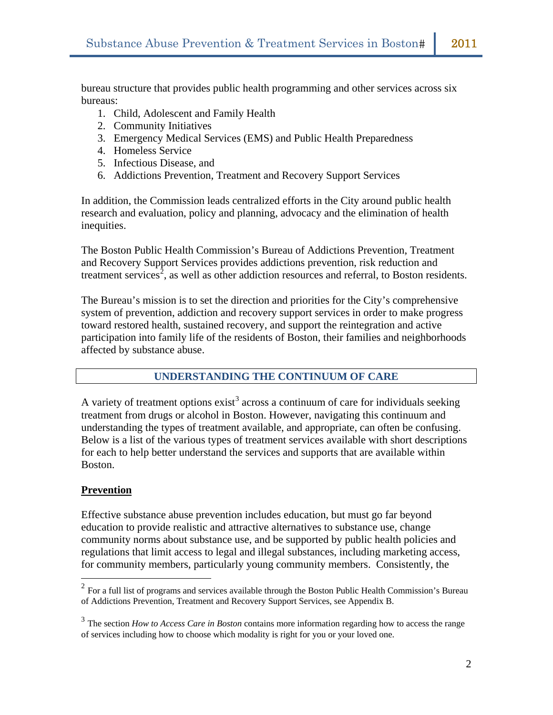bureau structure that provides public health programming and other services across six bureaus:

- 1. Child, Adolescent and Family Health
- 2. Community Initiatives
- 3. Emergency Medical Services (EMS) and Public Health Preparedness
- 4. Homeless Service
- 5. Infectious Disease, and
- 6. Addictions Prevention, Treatment and Recovery Support Services

In addition, the Commission leads centralized efforts in the City around public health research and evaluation, policy and planning, advocacy and the elimination of health inequities.

The Boston Public Health Commission's Bureau of Addictions Prevention, Treatment and Recovery Support Services provides addictions prevention, risk reduction and treatment services<sup>[2](#page-3-0)</sup>, as well as other addiction resources and referral, to Boston residents.

The Bureau's mission is to set the direction and priorities for the City's comprehensive system of prevention, addiction and recovery support services in order to make progress toward restored health, sustained recovery, and support the reintegration and active participation into family life of the residents of Boston, their families and neighborhoods affected by substance abuse.

# **UNDERSTANDING THE CONTINUUM OF CARE**

A variety of treatment options  $exist^3$  $exist^3$  across a continuum of care for individuals seeking treatment from drugs or alcohol in Boston. However, navigating this continuum and understanding the types of treatment available, and appropriate, can often be confusing. Below is a list of the various types of treatment services available with short descriptions for each to help better understand the services and supports that are available within Boston.

# **Prevention**

 $\overline{a}$ 

Effective substance abuse prevention includes education, but must go far beyond education to provide realistic and attractive alternatives to substance use, change community norms about substance use, and be supported by public health policies and regulations that limit access to legal and illegal substances, including marketing access, for community members, particularly young community members. Consistently, the

<span id="page-3-0"></span> $2^2$  For a full list of programs and services available through the Boston Public Health Commission's Bureau of Addictions Prevention, Treatment and Recovery Support Services, see Appendix B.

<span id="page-3-1"></span><sup>3</sup> The section *How to Access Care in Boston* contains more information regarding how to access the range of services including how to choose which modality is right for you or your loved one.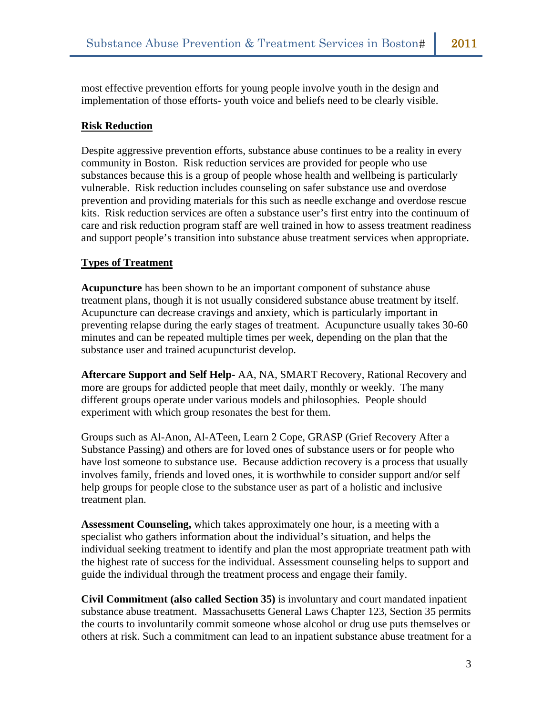most effective prevention efforts for young people involve youth in the design and implementation of those efforts- youth voice and beliefs need to be clearly visible.

# **Risk Reduction**

Despite aggressive prevention efforts, substance abuse continues to be a reality in every community in Boston. Risk reduction services are provided for people who use substances because this is a group of people whose health and wellbeing is particularly vulnerable. Risk reduction includes counseling on safer substance use and overdose prevention and providing materials for this such as needle exchange and overdose rescue kits. Risk reduction services are often a substance user's first entry into the continuum of care and risk reduction program staff are well trained in how to assess treatment readiness and support people's transition into substance abuse treatment services when appropriate.

# **Types of Treatment**

**Acupuncture** has been shown to be an important component of substance abuse treatment plans, though it is not usually considered substance abuse treatment by itself. Acupuncture can decrease cravings and anxiety, which is particularly important in preventing relapse during the early stages of treatment. Acupuncture usually takes 30-60 minutes and can be repeated multiple times per week, depending on the plan that the substance user and trained acupuncturist develop.

**Aftercare Support and Self Help-** AA, NA, SMART Recovery, Rational Recovery and more are groups for addicted people that meet daily, monthly or weekly. The many different groups operate under various models and philosophies. People should experiment with which group resonates the best for them.

Groups such as Al-Anon, Al-ATeen, Learn 2 Cope, GRASP (Grief Recovery After a Substance Passing) and others are for loved ones of substance users or for people who have lost someone to substance use. Because addiction recovery is a process that usually involves family, friends and loved ones, it is worthwhile to consider support and/or self help groups for people close to the substance user as part of a holistic and inclusive treatment plan.

**Assessment Counseling,** which takes approximately one hour, is a meeting with a specialist who gathers information about the individual's situation, and helps the individual seeking treatment to identify and plan the most appropriate treatment path with the highest rate of success for the individual. Assessment counseling helps to support and guide the individual through the treatment process and engage their family.

**Civil Commitment (also called Section 35)** is involuntary and court mandated inpatient substance abuse treatment. Massachusetts General Laws Chapter 123, Section 35 permits the courts to involuntarily commit someone whose alcohol or drug use puts themselves or others at risk. Such a commitment can lead to an inpatient substance abuse treatment for a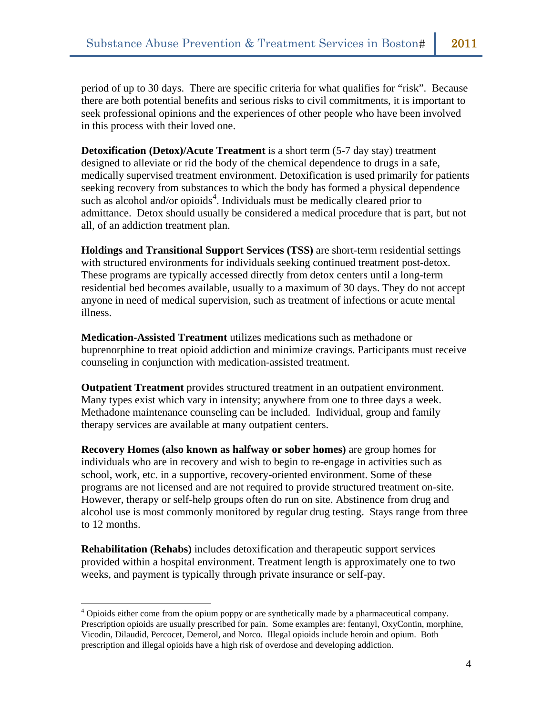period of up to 30 days. There are specific criteria for what qualifies for "risk". Because there are both potential benefits and serious risks to civil commitments, it is important to seek professional opinions and the experiences of other people who have been involved in this process with their loved one.

**Detoxification (Detox)/Acute Treatment** is a short term (5-7 day stay) treatment designed to alleviate or rid the body of the chemical dependence to drugs in a safe, medically supervised treatment environment. Detoxification is used primarily for patients seeking recovery from substances to which the body has formed a physical dependence such as alcohol and/or opioids<sup>[4](#page-5-0)</sup>. Individuals must be medically cleared prior to admittance. Detox should usually be considered a medical procedure that is part, but not all, of an addiction treatment plan.

**Holdings and Transitional Support Services (TSS)** are short-term residential settings with structured environments for individuals seeking continued treatment post-detox. These programs are typically accessed directly from detox centers until a long-term residential bed becomes available, usually to a maximum of 30 days. They do not accept anyone in need of medical supervision, such as treatment of infections or acute mental illness.

**Medication-Assisted Treatment** utilizes medications such as methadone or buprenorphine to treat opioid addiction and minimize cravings. Participants must receive counseling in conjunction with medication-assisted treatment.

**Outpatient Treatment** provides structured treatment in an outpatient environment. Many types exist which vary in intensity; anywhere from one to three days a week. Methadone maintenance counseling can be included. Individual, group and family therapy services are available at many outpatient centers.

**Recovery Homes (also known as halfway or sober homes)** are group homes for individuals who are in recovery and wish to begin to re-engage in activities such as school, work, etc. in a supportive, recovery-oriented environment. Some of these programs are not licensed and are not required to provide structured treatment on-site. However, therapy or self-help groups often do run on site. Abstinence from drug and alcohol use is most commonly monitored by regular drug testing. Stays range from three to 12 months.

**Rehabilitation (Rehabs)** includes detoxification and therapeutic support services provided within a hospital environment. Treatment length is approximately one to two weeks, and payment is typically through private insurance or self-pay.

 $\overline{a}$ 

<span id="page-5-0"></span> $4$  Opioids either come from the opium poppy or are synthetically made by a pharmaceutical company. Prescription opioids are usually prescribed for pain. Some examples are: fentanyl, OxyContin, morphine, Vicodin, Dilaudid, Percocet, Demerol, and Norco. Illegal opioids include heroin and opium. Both prescription and illegal opioids have a high risk of overdose and developing addiction.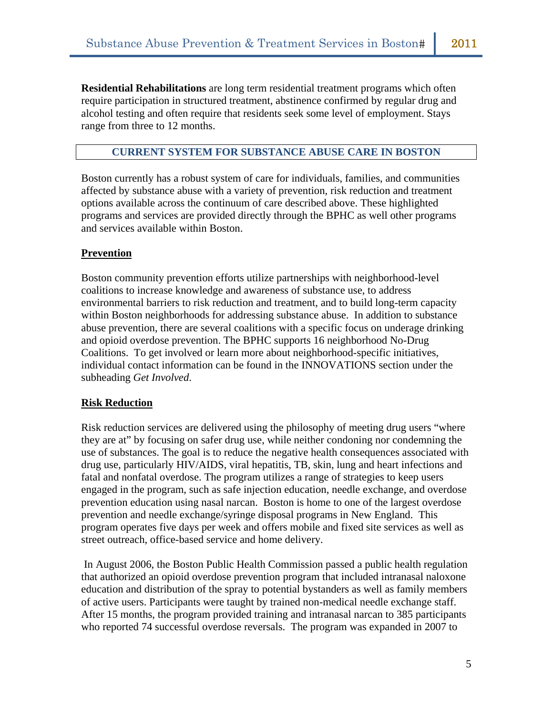**Residential Rehabilitations** are long term residential treatment programs which often require participation in structured treatment, abstinence confirmed by regular drug and alcohol testing and often require that residents seek some level of employment. Stays range from three to 12 months.

## **CURRENT SYSTEM FOR SUBSTANCE ABUSE CARE IN BOSTON**

Boston currently has a robust system of care for individuals, families, and communities affected by substance abuse with a variety of prevention, risk reduction and treatment options available across the continuum of care described above. These highlighted programs and services are provided directly through the BPHC as well other programs and services available within Boston.

# **Prevention**

Boston community prevention efforts utilize partnerships with neighborhood-level coalitions to increase knowledge and awareness of substance use, to address environmental barriers to risk reduction and treatment, and to build long-term capacity within Boston neighborhoods for addressing substance abuse. In addition to substance abuse prevention, there are several coalitions with a specific focus on underage drinking and opioid overdose prevention. The BPHC supports 16 neighborhood No-Drug Coalitions. To get involved or learn more about neighborhood-specific initiatives, individual contact information can be found in the INNOVATIONS section under the subheading *Get Involved*.

#### **Risk Reduction**

Risk reduction services are delivered using the philosophy of meeting drug users "where they are at" by focusing on safer drug use, while neither condoning nor condemning the use of substances. The goal is to reduce the negative health consequences associated with drug use, particularly HIV/AIDS, viral hepatitis, TB, skin, lung and heart infections and fatal and nonfatal overdose. The program utilizes a range of strategies to keep users engaged in the program, such as safe injection education, needle exchange, and overdose prevention education using nasal narcan. Boston is home to one of the largest overdose prevention and needle exchange/syringe disposal programs in New England. This program operates five days per week and offers mobile and fixed site services as well as street outreach, office-based service and home delivery.

 In August 2006, the Boston Public Health Commission passed a public health regulation that authorized an opioid overdose prevention program that included intranasal naloxone education and distribution of the spray to potential bystanders as well as family members of active users. Participants were taught by trained non-medical needle exchange staff. After 15 months, the program provided training and intranasal narcan to 385 participants who reported 74 successful overdose reversals. The program was expanded in 2007 to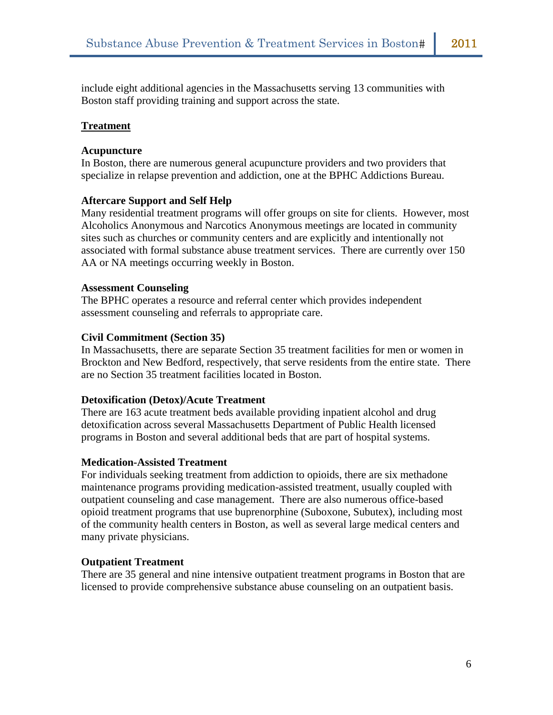include eight additional agencies in the Massachusetts serving 13 communities with Boston staff providing training and support across the state.

#### **Treatment**

#### **Acupuncture**

In Boston, there are numerous general acupuncture providers and two providers that specialize in relapse prevention and addiction, one at the BPHC Addictions Bureau.

#### **Aftercare Support and Self Help**

Many residential treatment programs will offer groups on site for clients. However, most Alcoholics Anonymous and Narcotics Anonymous meetings are located in community sites such as churches or community centers and are explicitly and intentionally not associated with formal substance abuse treatment services. There are currently over 150 AA or NA meetings occurring weekly in Boston.

#### **Assessment Counseling**

The BPHC operates a resource and referral center which provides independent assessment counseling and referrals to appropriate care.

#### **Civil Commitment (Section 35)**

In Massachusetts, there are separate Section 35 treatment facilities for men or women in Brockton and New Bedford, respectively, that serve residents from the entire state. There are no Section 35 treatment facilities located in Boston.

#### **Detoxification (Detox)/Acute Treatment**

There are 163 acute treatment beds available providing inpatient alcohol and drug detoxification across several Massachusetts Department of Public Health licensed programs in Boston and several additional beds that are part of hospital systems.

#### **Medication-Assisted Treatment**

For individuals seeking treatment from addiction to opioids, there are six methadone maintenance programs providing medication-assisted treatment, usually coupled with outpatient counseling and case management. There are also numerous office-based opioid treatment programs that use buprenorphine (Suboxone, Subutex), including most of the community health centers in Boston, as well as several large medical centers and many private physicians.

# **Outpatient Treatment**

There are 35 general and nine intensive outpatient treatment programs in Boston that are licensed to provide comprehensive substance abuse counseling on an outpatient basis.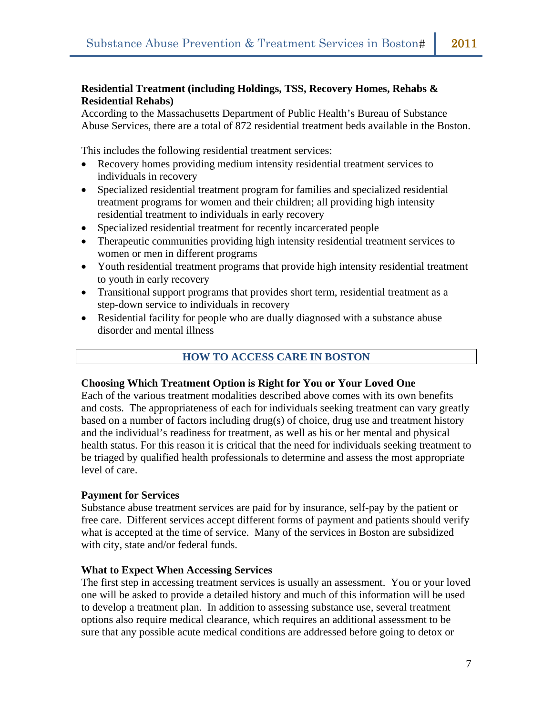# **Residential Treatment (including Holdings, TSS, Recovery Homes, Rehabs & Residential Rehabs)**

According to the Massachusetts Department of Public Health's Bureau of Substance Abuse Services, there are a total of 872 residential treatment beds available in the Boston.

This includes the following residential treatment services:

- Recovery homes providing medium intensity residential treatment services to individuals in recovery
- Specialized residential treatment program for families and specialized residential treatment programs for women and their children; all providing high intensity residential treatment to individuals in early recovery
- Specialized residential treatment for recently incarcerated people
- Therapeutic communities providing high intensity residential treatment services to women or men in different programs
- Youth residential treatment programs that provide high intensity residential treatment to youth in early recovery
- Transitional support programs that provides short term, residential treatment as a step-down service to individuals in recovery
- Residential facility for people who are dually diagnosed with a substance abuse disorder and mental illness

# **HOW TO ACCESS CARE IN BOSTON**

#### **Choosing Which Treatment Option is Right for You or Your Loved One**

Each of the various treatment modalities described above comes with its own benefits and costs. The appropriateness of each for individuals seeking treatment can vary greatly based on a number of factors including drug(s) of choice, drug use and treatment history and the individual's readiness for treatment, as well as his or her mental and physical health status. For this reason it is critical that the need for individuals seeking treatment to be triaged by qualified health professionals to determine and assess the most appropriate level of care.

#### **Payment for Services**

Substance abuse treatment services are paid for by insurance, self-pay by the patient or free care. Different services accept different forms of payment and patients should verify what is accepted at the time of service. Many of the services in Boston are subsidized with city, state and/or federal funds.

#### **What to Expect When Accessing Services**

The first step in accessing treatment services is usually an assessment. You or your loved one will be asked to provide a detailed history and much of this information will be used to develop a treatment plan. In addition to assessing substance use, several treatment options also require medical clearance, which requires an additional assessment to be sure that any possible acute medical conditions are addressed before going to detox or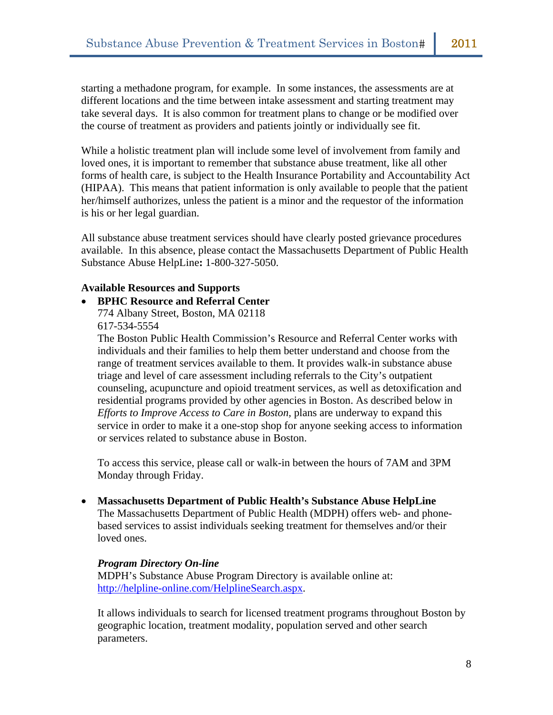starting a methadone program, for example. In some instances, the assessments are at different locations and the time between intake assessment and starting treatment may take several days. It is also common for treatment plans to change or be modified over the course of treatment as providers and patients jointly or individually see fit.

While a holistic treatment plan will include some level of involvement from family and loved ones, it is important to remember that substance abuse treatment, like all other forms of health care, is subject to the Health Insurance Portability and Accountability Act (HIPAA). This means that patient information is only available to people that the patient her/himself authorizes, unless the patient is a minor and the requestor of the information is his or her legal guardian.

All substance abuse treatment services should have clearly posted grievance procedures available. In this absence, please contact the Massachusetts Department of Public Health Substance Abuse HelpLine**:** 1-800-327-5050.

#### **Available Resources and Supports**

• **BPHC Resource and Referral Center**  774 Albany Street, Boston, MA 02118 617-534-5554

The Boston Public Health Commission's Resource and Referral Center works with individuals and their families to help them better understand and choose from the range of treatment services available to them. It provides walk-in substance abuse triage and level of care assessment including referrals to the City's outpatient counseling, acupuncture and opioid treatment services, as well as detoxification and residential programs provided by other agencies in Boston. As described below in *Efforts to Improve Access to Care in Boston,* plans are underway to expand this service in order to make it a one-stop shop for anyone seeking access to information or services related to substance abuse in Boston.

To access this service, please call or walk-in between the hours of 7AM and 3PM Monday through Friday.

• **Massachusetts Department of Public Health's Substance Abuse HelpLine**  The Massachusetts Department of Public Health (MDPH) offers web- and phonebased services to assist individuals seeking treatment for themselves and/or their loved ones.

# *Program Directory On-line*

MDPH's Substance Abuse Program Directory is available online at: <http://helpline-online.com/HelplineSearch.aspx>.

It allows individuals to search for licensed treatment programs throughout Boston by geographic location, treatment modality, population served and other search parameters.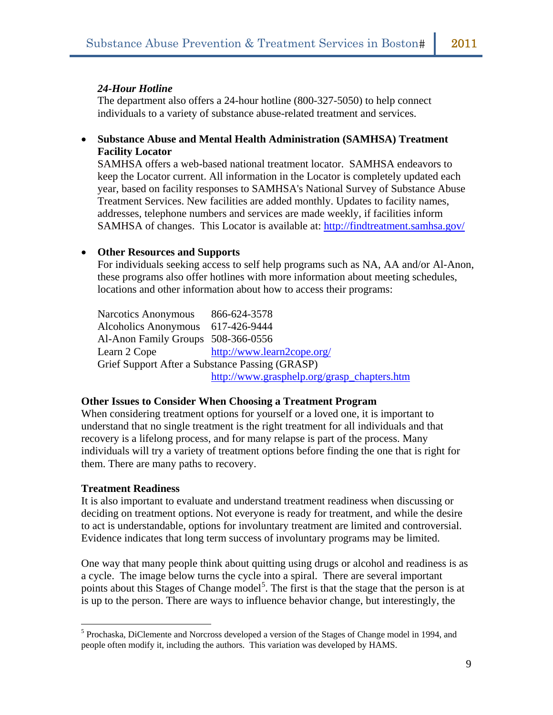#### *24-Hour Hotline*

The department also offers a 24-hour hotline (800-327-5050) to help connect individuals to a variety of substance abuse-related treatment and services.

• **Substance Abuse and Mental Health Administration (SAMHSA) Treatment Facility Locator** 

SAMHSA offers a web-based national treatment locator. SAMHSA endeavors to keep the Locator current. All information in the Locator is completely updated each year, based on facility responses to SAMHSA's National Survey of Substance Abuse Treatment Services. New facilities are added monthly. Updates to facility names, addresses, telephone numbers and services are made weekly, if facilities inform SAMHSA of changes. This Locator is available at: <http://findtreatment.samhsa.gov/>

#### • **Other Resources and Supports**

For individuals seeking access to self help programs such as NA, AA and/or Al-Anon, these programs also offer hotlines with more information about meeting schedules, locations and other information about how to access their programs:

Narcotics Anonymous 866-624-3578 Alcoholics Anonymous 617-426-9444 Al-Anon Family Groups 508-366-0556 Learn 2 Cope <http://www.learn2cope.org/> Grief Support After a Substance Passing (GRASP) [http://www.grasphelp.org/grasp\\_chapters.htm](http://www.grasphelp.org/grasp_chapters.htm)

#### **Other Issues to Consider When Choosing a Treatment Program**

When considering treatment options for yourself or a loved one, it is important to understand that no single treatment is the right treatment for all individuals and that recovery is a lifelong process, and for many relapse is part of the process. Many individuals will try a variety of treatment options before finding the one that is right for them. There are many paths to recovery.

#### **Treatment Readiness**

 $\overline{a}$ 

It is also important to evaluate and understand treatment readiness when discussing or deciding on treatment options. Not everyone is ready for treatment, and while the desire to act is understandable, options for involuntary treatment are limited and controversial. Evidence indicates that long term success of involuntary programs may be limited.

One way that many people think about quitting using drugs or alcohol and readiness is as a cycle. The image below turns the cycle into a spiral. There are several important points about this Stages of Change model<sup>[5](#page-10-0)</sup>. The first is that the stage that the person is at is up to the person. There are ways to influence behavior change, but interestingly, the

<span id="page-10-0"></span><sup>&</sup>lt;sup>5</sup> Prochaska, DiClemente and Norcross developed a version of the Stages of Change model in 1994, and people often modify it, including the authors. This variation was developed by HAMS.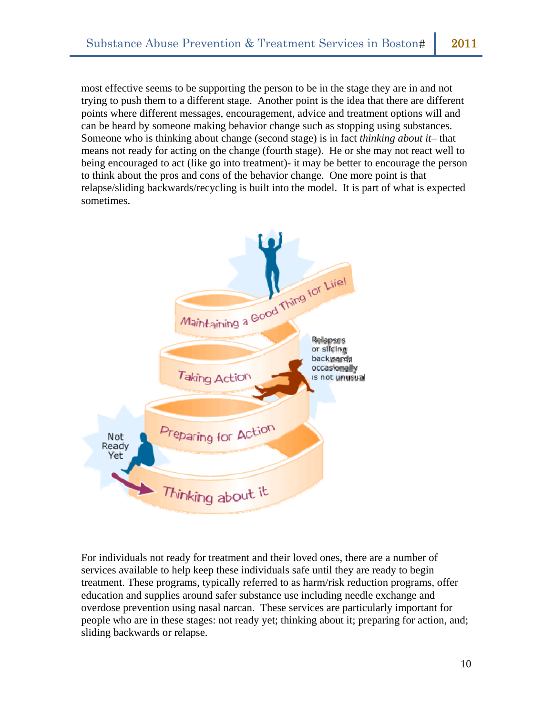most effective seems to be supporting the person to be in the stage they are in and not trying to push them to a different stage. Another point is the idea that there are different points where different messages, encouragement, advice and treatment options will and can be heard by someone making behavior change such as stopping using substances. Someone who is thinking about change (second stage) is in fact *thinking about it*– that means not ready for acting on the change (fourth stage). He or she may not react well to being encouraged to act (like go into treatment)- it may be better to encourage the person to think about the pros and cons of the behavior change. One more point is that relapse/sliding backwards/recycling is built into the model. It is part of what is expected sometimes.



For individuals not ready for treatment and their loved ones, there are a number of services available to help keep these individuals safe until they are ready to begin treatment. These programs, typically referred to as harm/risk reduction programs, offer education and supplies around safer substance use including needle exchange and overdose prevention using nasal narcan. These services are particularly important for people who are in these stages: not ready yet; thinking about it; preparing for action, and; sliding backwards or relapse.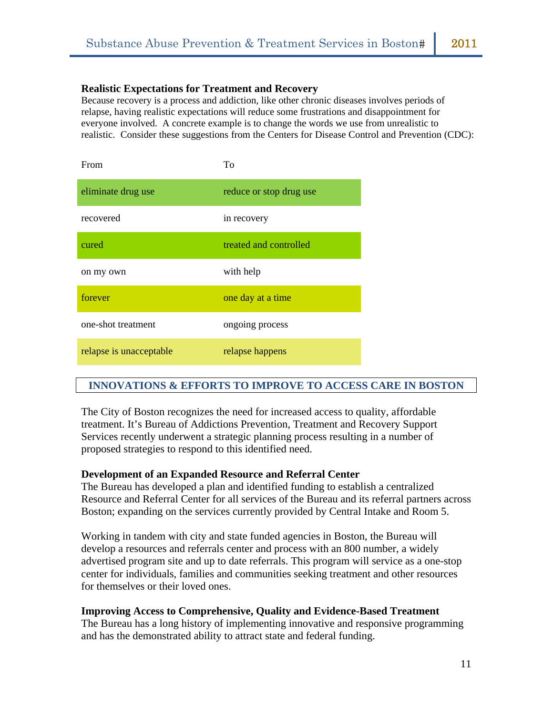#### **Realistic Expectations for Treatment and Recovery**

Because recovery is a process and addiction, like other chronic diseases involves periods of relapse, having realistic expectations will reduce some frustrations and disappointment for everyone involved. A concrete example is to change the words we use from unrealistic to realistic. Consider these suggestions from the Centers for Disease Control and Prevention (CDC):

| From                    | Tο                      |
|-------------------------|-------------------------|
| eliminate drug use      | reduce or stop drug use |
| recovered               | in recovery             |
| cured                   | treated and controlled  |
| on my own               | with help               |
| forever                 | one day at a time       |
| one-shot treatment      | ongoing process         |
| relapse is unacceptable | relapse happens         |

# **INNOVATIONS & EFFORTS TO IMPROVE TO ACCESS CARE IN BOSTON**

The City of Boston recognizes the need for increased access to quality, affordable treatment. It's Bureau of Addictions Prevention, Treatment and Recovery Support Services recently underwent a strategic planning process resulting in a number of proposed strategies to respond to this identified need.

#### **Development of an Expanded Resource and Referral Center**

The Bureau has developed a plan and identified funding to establish a centralized Resource and Referral Center for all services of the Bureau and its referral partners across Boston; expanding on the services currently provided by Central Intake and Room 5.

Working in tandem with city and state funded agencies in Boston, the Bureau will develop a resources and referrals center and process with an 800 number, a widely advertised program site and up to date referrals. This program will service as a one-stop center for individuals, families and communities seeking treatment and other resources for themselves or their loved ones.

#### **Improving Access to Comprehensive, Quality and Evidence-Based Treatment**

The Bureau has a long history of implementing innovative and responsive programming and has the demonstrated ability to attract state and federal funding.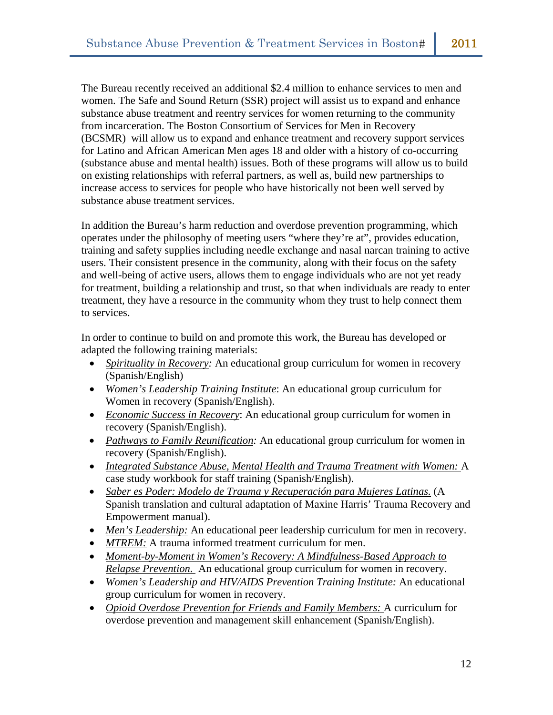The Bureau recently received an additional \$2.4 million to enhance services to men and women. The Safe and Sound Return (SSR) project will assist us to expand and enhance substance abuse treatment and reentry services for women returning to the community from incarceration. The Boston Consortium of Services for Men in Recovery (BCSMR) will allow us to expand and enhance treatment and recovery support services for Latino and African American Men ages 18 and older with a history of co-occurring (substance abuse and mental health) issues. Both of these programs will allow us to build on existing relationships with referral partners, as well as, build new partnerships to increase access to services for people who have historically not been well served by substance abuse treatment services.

In addition the Bureau's harm reduction and overdose prevention programming, which operates under the philosophy of meeting users "where they're at", provides education, training and safety supplies including needle exchange and nasal narcan training to active users. Their consistent presence in the community, along with their focus on the safety and well-being of active users, allows them to engage individuals who are not yet ready for treatment, building a relationship and trust, so that when individuals are ready to enter treatment, they have a resource in the community whom they trust to help connect them to services.

In order to continue to build on and promote this work, the Bureau has developed or adapted the following training materials:

- *Spirituality in Recovery:* An educational group curriculum for women in recovery (Spanish/English)
- *Women's Leadership Training Institute*: An educational group curriculum for Women in recovery (Spanish/English).
- *Economic Success in Recovery*: An educational group curriculum for women in recovery (Spanish/English).
- *Pathways to Family Reunification:* An educational group curriculum for women in recovery (Spanish/English).
- *Integrated Substance Abuse, Mental Health and Trauma Treatment with Women:* A case study workbook for staff training (Spanish/English).
- *Saber es Poder: Modelo de Trauma y Recuperación para Mujeres Latinas.* (A Spanish translation and cultural adaptation of Maxine Harris' Trauma Recovery and Empowerment manual).
- *Men's Leadership:* An educational peer leadership curriculum for men in recovery.
- *MTREM:* A trauma informed treatment curriculum for men.
- *Moment-by-Moment in Women's Recovery: A Mindfulness-Based Approach to Relapse Prevention.* An educational group curriculum for women in recovery.
- *Women's Leadership and HIV/AIDS Prevention Training Institute:* An educational group curriculum for women in recovery.
- *Opioid Overdose Prevention for Friends and Family Members:* A curriculum for overdose prevention and management skill enhancement (Spanish/English).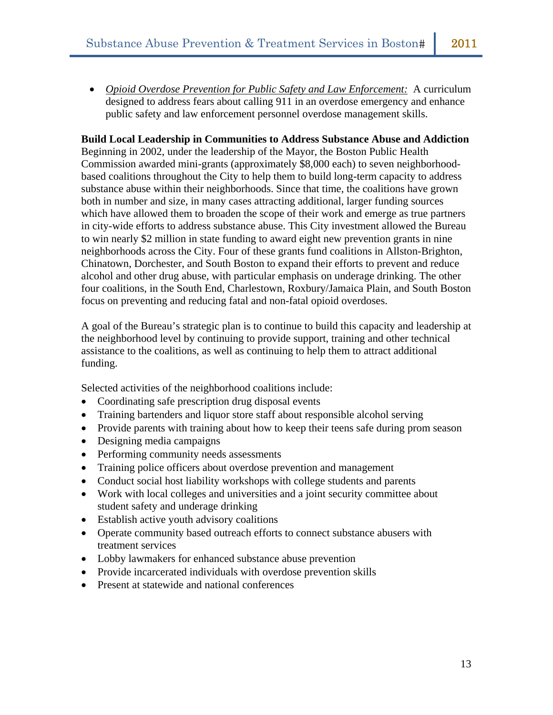• *Opioid Overdose Prevention for Public Safety and Law Enforcement:* A curriculum designed to address fears about calling 911 in an overdose emergency and enhance public safety and law enforcement personnel overdose management skills.

# **Build Local Leadership in Communities to Address Substance Abuse and Addiction**

Beginning in 2002, under the leadership of the Mayor, the Boston Public Health Commission awarded mini-grants (approximately \$8,000 each) to seven neighborhoodbased coalitions throughout the City to help them to build long-term capacity to address substance abuse within their neighborhoods. Since that time, the coalitions have grown both in number and size, in many cases attracting additional, larger funding sources which have allowed them to broaden the scope of their work and emerge as true partners in city-wide efforts to address substance abuse. This City investment allowed the Bureau to win nearly \$2 million in state funding to award eight new prevention grants in nine neighborhoods across the City. Four of these grants fund coalitions in Allston-Brighton, Chinatown, Dorchester, and South Boston to expand their efforts to prevent and reduce alcohol and other drug abuse, with particular emphasis on underage drinking. The other four coalitions, in the South End, Charlestown, Roxbury/Jamaica Plain, and South Boston focus on preventing and reducing fatal and non-fatal opioid overdoses.

A goal of the Bureau's strategic plan is to continue to build this capacity and leadership at the neighborhood level by continuing to provide support, training and other technical assistance to the coalitions, as well as continuing to help them to attract additional funding.

Selected activities of the neighborhood coalitions include:

- Coordinating safe prescription drug disposal events
- Training bartenders and liquor store staff about responsible alcohol serving
- Provide parents with training about how to keep their teens safe during prom season
- Designing media campaigns
- Performing community needs assessments
- Training police officers about overdose prevention and management
- Conduct social host liability workshops with college students and parents
- Work with local colleges and universities and a joint security committee about student safety and underage drinking
- Establish active youth advisory coalitions
- Operate community based outreach efforts to connect substance abusers with treatment services
- Lobby lawmakers for enhanced substance abuse prevention
- Provide incarcerated individuals with overdose prevention skills
- Present at statewide and national conferences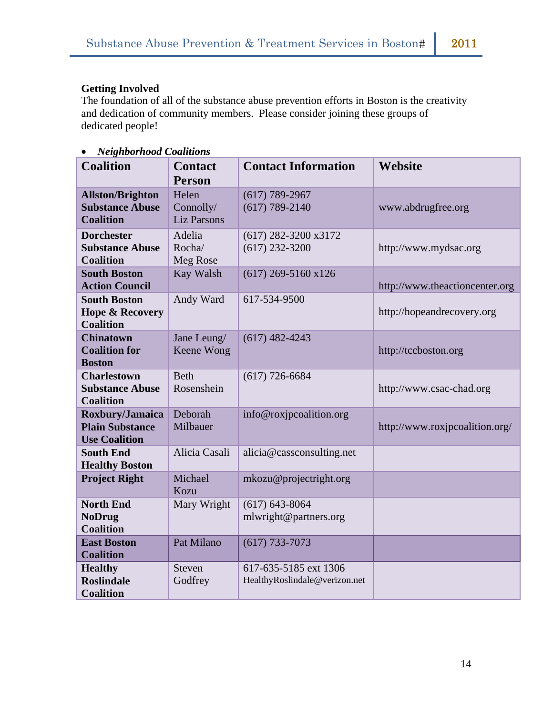# **Getting Involved**

The foundation of all of the substance abuse prevention efforts in Boston is the creativity and dedication of community members. Please consider joining these groups of dedicated people!

• *Neighborhood Coalitions* 

| <b>Coalition</b>                                                      | <b>Contact</b><br><b>Person</b>          | <b>Contact Information</b>                             | <b>Website</b>                 |
|-----------------------------------------------------------------------|------------------------------------------|--------------------------------------------------------|--------------------------------|
| <b>Allston/Brighton</b><br><b>Substance Abuse</b><br><b>Coalition</b> | Helen<br>Connolly/<br><b>Liz Parsons</b> | $(617) 789 - 2967$<br>$(617) 789 - 2140$               | www.abdrugfree.org             |
| <b>Dorchester</b><br><b>Substance Abuse</b><br><b>Coalition</b>       | Adelia<br>Rocha/<br>Meg Rose             | $(617)$ 282-3200 x3172<br>$(617)$ 232-3200             | http://www.mydsac.org          |
| <b>South Boston</b><br><b>Action Council</b>                          | Kay Walsh                                | $(617)$ 269-5160 x126                                  | http://www.theactioncenter.org |
| <b>South Boston</b><br><b>Hope &amp; Recovery</b><br><b>Coalition</b> | Andy Ward                                | 617-534-9500                                           | http://hopeandrecovery.org     |
| <b>Chinatown</b><br><b>Coalition for</b><br><b>Boston</b>             | Jane Leung/<br>Keene Wong                | $(617)$ 482-4243                                       | http://tccboston.org           |
| <b>Charlestown</b><br><b>Substance Abuse</b><br><b>Coalition</b>      | <b>Beth</b><br>Rosenshein                | $(617)$ 726-6684                                       | http://www.csac-chad.org       |
| Roxbury/Jamaica<br><b>Plain Substance</b><br><b>Use Coalition</b>     | Deborah<br>Milbauer                      | info@roxjpcoalition.org                                | http://www.roxjpcoalition.org/ |
| <b>South End</b><br><b>Healthy Boston</b>                             | Alicia Casali                            | alicia@cassconsulting.net                              |                                |
| <b>Project Right</b>                                                  | Michael<br>Kozu                          | mkozu@projectright.org                                 |                                |
| <b>North End</b><br><b>NoDrug</b><br><b>Coalition</b>                 | Mary Wright                              | $(617) 643 - 8064$<br>mlwright@partners.org            |                                |
| <b>East Boston</b><br><b>Coalition</b>                                | Pat Milano                               | $(617) 733 - 7073$                                     |                                |
| <b>Healthy</b><br><b>Roslindale</b><br><b>Coalition</b>               | <b>Steven</b><br>Godfrey                 | 617-635-5185 ext 1306<br>HealthyRoslindale@verizon.net |                                |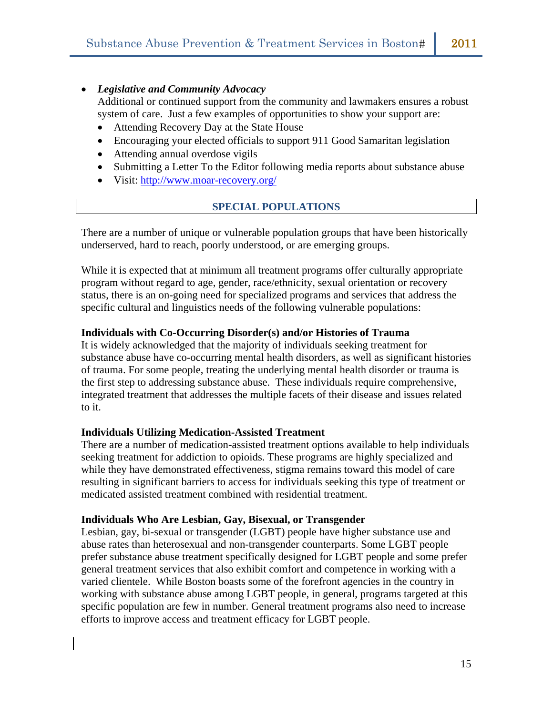# • *Legislative and Community Advocacy*

Additional or continued support from the community and lawmakers ensures a robust system of care. Just a few examples of opportunities to show your support are:

- Attending Recovery Day at the State House
- Encouraging your elected officials to support 911 Good Samaritan legislation
- Attending annual overdose vigils
- Submitting a Letter To the Editor following media reports about substance abuse
- Visit: <http://www.moar-recovery.org/>

# **SPECIAL POPULATIONS**

There are a number of unique or vulnerable population groups that have been historically underserved, hard to reach, poorly understood, or are emerging groups.

While it is expected that at minimum all treatment programs offer culturally appropriate program without regard to age, gender, race/ethnicity, sexual orientation or recovery status, there is an on-going need for specialized programs and services that address the specific cultural and linguistics needs of the following vulnerable populations:

# **Individuals with Co-Occurring Disorder(s) and/or Histories of Trauma**

It is widely acknowledged that the majority of individuals seeking treatment for substance abuse have co-occurring mental health disorders, as well as significant histories of trauma. For some people, treating the underlying mental health disorder or trauma is the first step to addressing substance abuse. These individuals require comprehensive, integrated treatment that addresses the multiple facets of their disease and issues related to it.

# **Individuals Utilizing Medication-Assisted Treatment**

There are a number of medication-assisted treatment options available to help individuals seeking treatment for addiction to opioids. These programs are highly specialized and while they have demonstrated effectiveness, stigma remains toward this model of care resulting in significant barriers to access for individuals seeking this type of treatment or medicated assisted treatment combined with residential treatment.

# **Individuals Who Are Lesbian, Gay, Bisexual, or Transgender**

Lesbian, gay, bi-sexual or transgender (LGBT) people have higher substance use and abuse rates than heterosexual and non-transgender counterparts. Some LGBT people prefer substance abuse treatment specifically designed for LGBT people and some prefer general treatment services that also exhibit comfort and competence in working with a varied clientele. While Boston boasts some of the forefront agencies in the country in working with substance abuse among LGBT people, in general, programs targeted at this specific population are few in number. General treatment programs also need to increase efforts to improve access and treatment efficacy for LGBT people.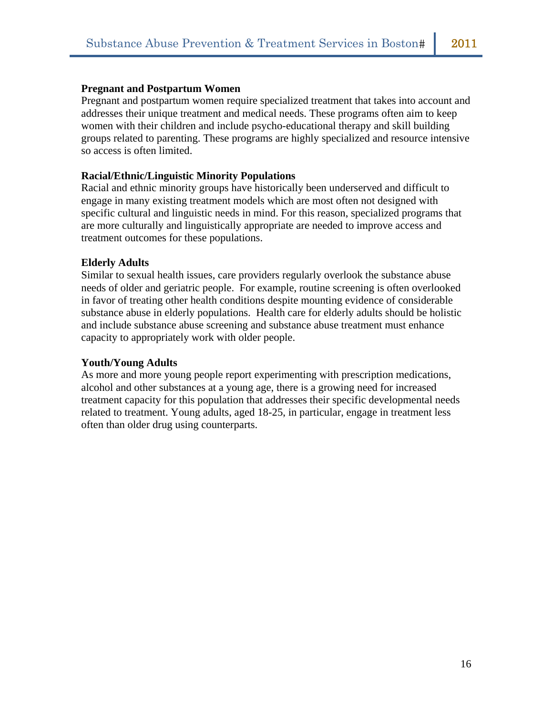### **Pregnant and Postpartum Women**

Pregnant and postpartum women require specialized treatment that takes into account and addresses their unique treatment and medical needs. These programs often aim to keep women with their children and include psycho-educational therapy and skill building groups related to parenting. These programs are highly specialized and resource intensive so access is often limited.

#### **Racial/Ethnic/Linguistic Minority Populations**

Racial and ethnic minority groups have historically been underserved and difficult to engage in many existing treatment models which are most often not designed with specific cultural and linguistic needs in mind. For this reason, specialized programs that are more culturally and linguistically appropriate are needed to improve access and treatment outcomes for these populations.

#### **Elderly Adults**

Similar to sexual health issues, care providers regularly overlook the substance abuse needs of older and geriatric people. For example, routine screening is often overlooked in favor of treating other health conditions despite mounting evidence of considerable substance abuse in elderly populations. Health care for elderly adults should be holistic and include substance abuse screening and substance abuse treatment must enhance capacity to appropriately work with older people.

#### **Youth/Young Adults**

As more and more young people report experimenting with prescription medications, alcohol and other substances at a young age, there is a growing need for increased treatment capacity for this population that addresses their specific developmental needs related to treatment. Young adults, aged 18-25, in particular, engage in treatment less often than older drug using counterparts.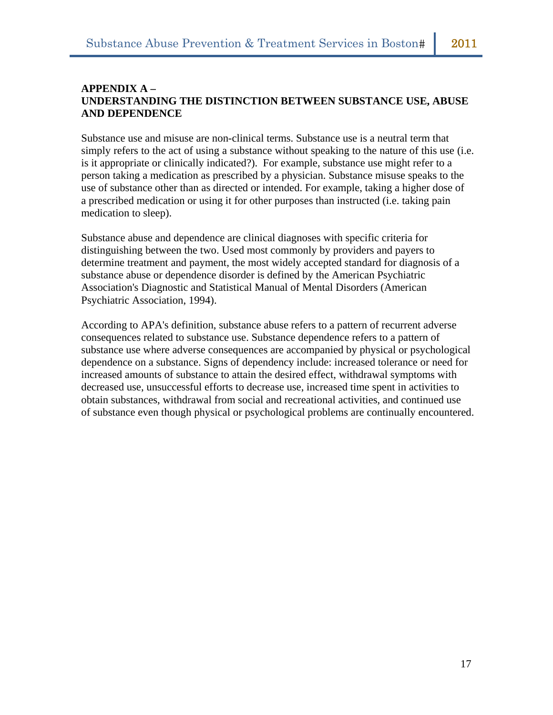# **APPENDIX A – UNDERSTANDING THE DISTINCTION BETWEEN SUBSTANCE USE, ABUSE AND DEPENDENCE**

Substance use and misuse are non-clinical terms. Substance use is a neutral term that simply refers to the act of using a substance without speaking to the nature of this use (i.e. is it appropriate or clinically indicated?). For example, substance use might refer to a person taking a medication as prescribed by a physician. Substance misuse speaks to the use of substance other than as directed or intended. For example, taking a higher dose of a prescribed medication or using it for other purposes than instructed (i.e. taking pain medication to sleep).

Substance abuse and dependence are clinical diagnoses with specific criteria for distinguishing between the two. Used most commonly by providers and payers to determine treatment and payment, the most widely accepted standard for diagnosis of a substance abuse or dependence disorder is defined by the American Psychiatric Association's Diagnostic and Statistical Manual of Mental Disorders (American Psychiatric Association, 1994).

According to APA's definition, substance abuse refers to a pattern of recurrent adverse consequences related to substance use. Substance dependence refers to a pattern of substance use where adverse consequences are accompanied by physical or psychological dependence on a substance. Signs of dependency include: increased tolerance or need for increased amounts of substance to attain the desired effect, withdrawal symptoms with decreased use, unsuccessful efforts to decrease use, increased time spent in activities to obtain substances, withdrawal from social and recreational activities, and continued use of substance even though physical or psychological problems are continually encountered.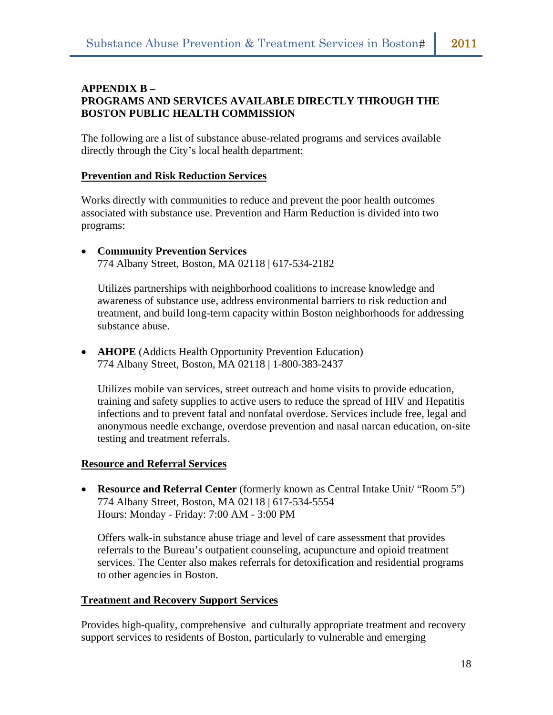# **APPENDIX B – PROGRAMS AND SERVICES AVAILABLE DIRECTLY THROUGH THE BOSTON PUBLIC HEALTH COMMISSION**

The following are a list of substance abuse-related programs and services available directly through the City's local health department:

# **Prevention and Risk Reduction Services**

Works directly with communities to reduce and prevent the poor health outcomes associated with substance use. Prevention and Harm Reduction is divided into two programs:

• **Community Prevention Services** 774 Albany Street, Boston, MA 02118 | 617-534-2182

Utilizes partnerships with neighborhood coalitions to increase knowledge and awareness of substance use, address environmental barriers to risk reduction and treatment, and build long-term capacity within Boston neighborhoods for addressing substance abuse.

• **AHOPE** (Addicts Health Opportunity Prevention Education) 774 Albany Street, Boston, MA 02118 | 1-800-383-2437

Utilizes mobile van services, street outreach and home visits to provide education, training and safety supplies to active users to reduce the spread of HIV and Hepatitis infections and to prevent fatal and nonfatal overdose. Services include free, legal and anonymous needle exchange, overdose prevention and nasal narcan education, on-site testing and treatment referrals.

# **Resource and Referral Services**

• **Resource and Referral Center** (formerly known as Central Intake Unit/ "Room 5") 774 Albany Street, Boston, MA 02118 | 617-534-5554 Hours: Monday - Friday: 7:00 AM - 3:00 PM

Offers walk-in substance abuse triage and level of care assessment that provides referrals to the Bureau's outpatient counseling, acupuncture and opioid treatment services. The Center also makes referrals for detoxification and residential programs to other agencies in Boston.

# **Treatment and Recovery Support Services**

Provides high-quality, comprehensive and culturally appropriate treatment and recovery support services to residents of Boston, particularly to vulnerable and emerging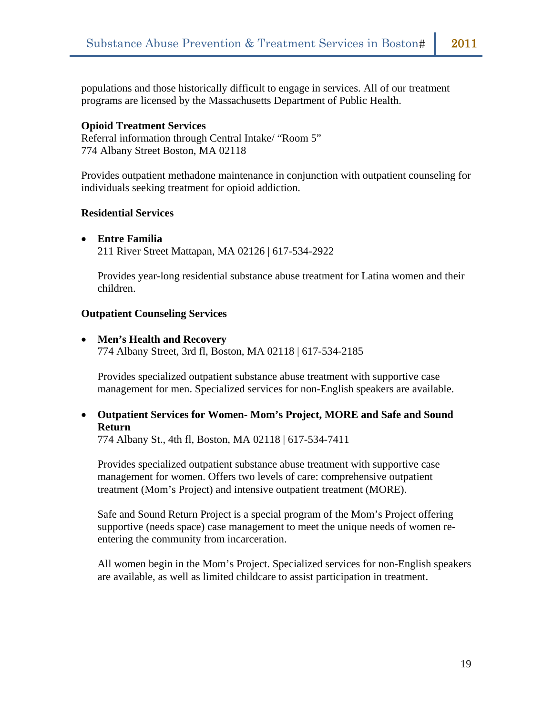populations and those historically difficult to engage in services. All of our treatment programs are licensed by the Massachusetts Department of Public Health.

#### **Opioid Treatment Services**

Referral information through Central Intake/ "Room 5" 774 Albany Street Boston, MA 02118

Provides outpatient methadone maintenance in conjunction with outpatient counseling for individuals seeking treatment for opioid addiction.

#### **Residential Services**

#### • **Entre Familia**

211 River Street Mattapan, MA 02126 | 617-534-2922

Provides year-long residential substance abuse treatment for Latina women and their children.

#### **Outpatient Counseling Services**

#### • **Men's Health and Recovery**

774 Albany Street, 3rd fl, Boston, MA 02118 | 617-534-2185

Provides specialized outpatient substance abuse treatment with supportive case management for men. Specialized services for non-English speakers are available.

• **Outpatient Services for Women**- **Mom's Project, MORE and Safe and Sound Return**

774 Albany St., 4th fl, Boston, MA 02118 | 617-534-7411

Provides specialized outpatient substance abuse treatment with supportive case management for women. Offers two levels of care: comprehensive outpatient treatment (Mom's Project) and intensive outpatient treatment (MORE).

Safe and Sound Return Project is a special program of the Mom's Project offering supportive (needs space) case management to meet the unique needs of women reentering the community from incarceration.

All women begin in the Mom's Project. Specialized services for non-English speakers are available, as well as limited childcare to assist participation in treatment.